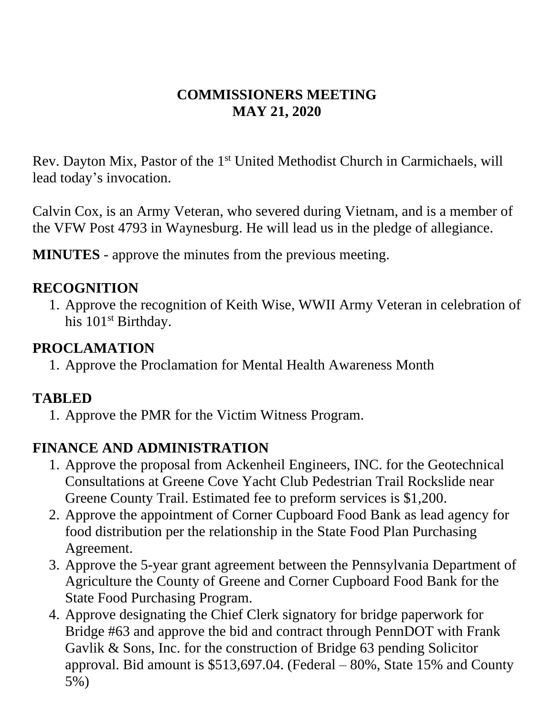#### **COMMISSIONERS MEETING MAY 21, 2020**

Rev. Dayton Mix, Pastor of the 1<sup>st</sup> United Methodist Church in Carmichaels, will lead today's invocation.

Calvin Cox, is an Army Veteran, who severed during Vietnam, and is a member of the VFW Post 4793 in Waynesburg. He will lead us in the pledge of allegiance.

**MINUTES** - approve the minutes from the previous meeting.

#### **RECOGNITION**

1. Approve the recognition of Keith Wise, WWII Army Veteran in celebration of his 101<sup>st</sup> Birthday.

#### **PROCLAMATION**

1. Approve the Proclamation for Mental Health Awareness Month

#### **TABLED**

1. Approve the PMR for the Victim Witness Program.

### **FINANCE AND ADMINISTRATION**

- 1. Approve the proposal from Ackenheil Engineers, INC. for the Geotechnical Consultations at Greene Cove Yacht Club Pedestrian Trail Rockslide near Greene County Trail. Estimated fee to preform services is \$1,200.
- 2. Approve the appointment of Corner Cupboard Food Bank as lead agency for food distribution per the relationship in the State Food Plan Purchasing Agreement.
- 3. Approve the 5-year grant agreement between the Pennsylvania Department of Agriculture the County of Greene and Corner Cupboard Food Bank for the State Food Purchasing Program.
- 4. Approve designating the Chief Clerk signatory for bridge paperwork for Bridge #63 and approve the bid and contract through PennDOT with Frank Gavlik & Sons, Inc. for the construction of Bridge 63 pending Solicitor approval. Bid amount is \$513,697.04. (Federal – 80%, State 15% and County 5%)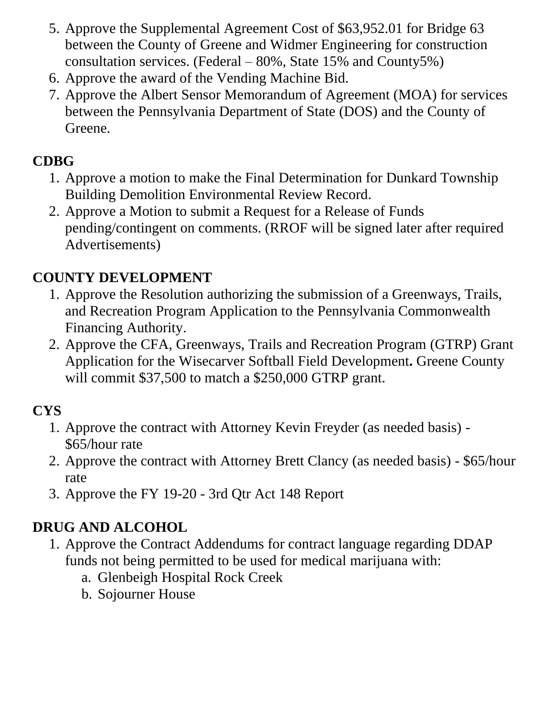- 5. Approve the Supplemental Agreement Cost of \$63,952.01 for Bridge 63 between the County of Greene and Widmer Engineering for construction consultation services. (Federal – 80%, State 15% and County5%)
- 6. Approve the award of the Vending Machine Bid.
- 7. Approve the Albert Sensor Memorandum of Agreement (MOA) for services between the Pennsylvania Department of State (DOS) and the County of Greene.

# **CDBG**

- 1. Approve a motion to make the Final Determination for Dunkard Township Building Demolition Environmental Review Record.
- 2. Approve a Motion to submit a Request for a Release of Funds pending/contingent on comments. (RROF will be signed later after required Advertisements)

# **COUNTY DEVELOPMENT**

- 1. Approve the Resolution authorizing the submission of a Greenways, Trails, and Recreation Program Application to the Pennsylvania Commonwealth Financing Authority.
- 2. Approve the CFA, Greenways, Trails and Recreation Program (GTRP) Grant Application for the Wisecarver Softball Field Development**.** Greene County will commit \$37,500 to match a \$250,000 GTRP grant.

## **CYS**

- 1. Approve the contract with Attorney Kevin Freyder (as needed basis) \$65/hour rate
- 2. Approve the contract with Attorney Brett Clancy (as needed basis) \$65/hour rate
- 3. Approve the FY 19-20 3rd Qtr Act 148 Report

# **DRUG AND ALCOHOL**

- 1. Approve the Contract Addendums for contract language regarding DDAP funds not being permitted to be used for medical marijuana with:
	- a. Glenbeigh Hospital Rock Creek
	- b. Sojourner House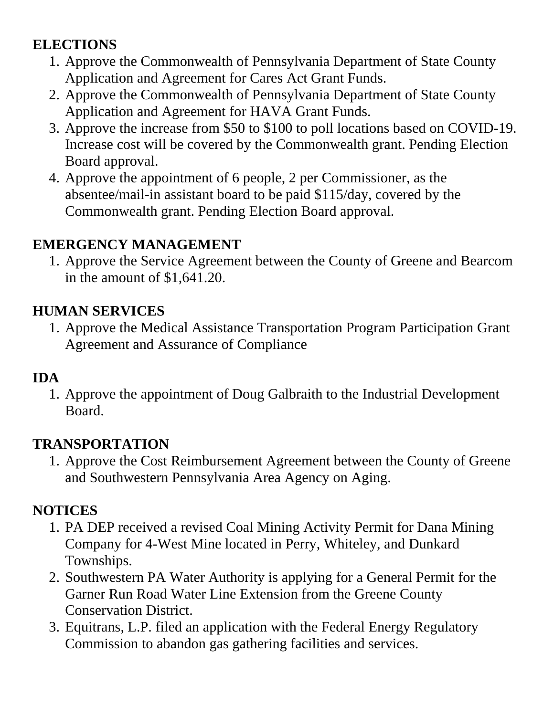## **ELECTIONS**

- 1. Approve the Commonwealth of Pennsylvania Department of State County Application and Agreement for Cares Act Grant Funds.
- 2. Approve the Commonwealth of Pennsylvania Department of State County Application and Agreement for HAVA Grant Funds.
- 3. Approve the increase from \$50 to \$100 to poll locations based on COVID-19. Increase cost will be covered by the Commonwealth grant. Pending Election Board approval.
- 4. Approve the appointment of 6 people, 2 per Commissioner, as the absentee/mail-in assistant board to be paid \$115/day, covered by the Commonwealth grant. Pending Election Board approval.

### **EMERGENCY MANAGEMENT**

1. Approve the Service Agreement between the County of Greene and Bearcom in the amount of \$1,641.20.

## **HUMAN SERVICES**

1. Approve the Medical Assistance Transportation Program Participation Grant Agreement and Assurance of Compliance

## **IDA**

1. Approve the appointment of Doug Galbraith to the Industrial Development Board.

## **TRANSPORTATION**

1. Approve the Cost Reimbursement Agreement between the County of Greene and Southwestern Pennsylvania Area Agency on Aging.

# **NOTICES**

- 1. PA DEP received a revised Coal Mining Activity Permit for Dana Mining Company for 4-West Mine located in Perry, Whiteley, and Dunkard Townships.
- 2. Southwestern PA Water Authority is applying for a General Permit for the Garner Run Road Water Line Extension from the Greene County Conservation District.
- 3. Equitrans, L.P. filed an application with the Federal Energy Regulatory Commission to abandon gas gathering facilities and services.